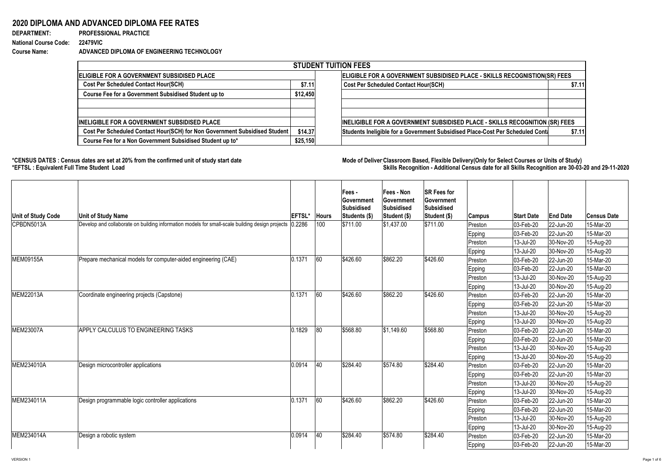## **2020 DIPLOMA AND ADVANCED DIPLOMA FEE RATES**

**DEPARTMENT: PROFESSIONAL PRACTICE National Course Code: 22479VIC**

**Course Name: ADVANCED DIPLOMA OF ENGINEERING TECHNOLOGY**

\*CENSUS DATES : Census dates are set at 20% from the confirmed unit of study start date **Mode of Deliver Classroom Based, Flexible** Delivery(Only for Select Courses or Units of Study) **\*EFTSL : Equivalent Full Time Student Load Skills Recognition - Additional Census date for all Skills Recognition are 30-03-20 and 29-11-2020** 

|                                                                            |          | <b>STUDENT TUITION FEES</b>                                                    |        |
|----------------------------------------------------------------------------|----------|--------------------------------------------------------------------------------|--------|
| ELIGIBLE FOR A GOVERNMENT SUBSIDISED PLACE                                 |          | ELIGIBLE FOR A GOVERNMENT SUBSIDISED PLACE - SKILLS RECOGNISTION(SR) FEES      |        |
| <b>Cost Per Scheduled Contact Hour(SCH)</b>                                | \$7.11   | <b>Cost Per Scheduled Contact Hour(SCH)</b>                                    | \$7.11 |
| <b>Course Fee for a Government Subsidised Student up to</b>                | \$12,450 |                                                                                |        |
|                                                                            |          |                                                                                |        |
| <b>INELIGIBLE FOR A GOVERNMENT SUBSIDISED PLACE</b>                        |          | INELIGIBLE FOR A GOVERNMENT SUBSIDISED PLACE - SKILLS RECOGNITION (SR) FEES    |        |
| Cost Per Scheduled Contact Hour(SCH) for Non Government Subsidised Student | \$14.37  | Students Ineligible for a Government Subsidised Place-Cost Per Scheduled Conta | \$7.11 |
| Course Fee for a Non Government Subsidised Student up to*                  | \$25,150 |                                                                                |        |

| Unit of Study Code | <b>Unit of Study Name</b>                                                                                | <b>EFTSL'</b> | <b>Hours</b> | <b>IFees -</b><br><b>Government</b><br><b>Subsidised</b><br>Students (\$) | <b>Fees - Non</b><br><b>Government</b><br><b>Subsidised</b><br>Student (\$) | <b>SR Fees for</b><br><b>Government</b><br><b>Subsidised</b><br> Student (\$) | <b>Campus</b> | <b>Start Date</b>        | <b>End Date</b> | <b>Census Date</b> |
|--------------------|----------------------------------------------------------------------------------------------------------|---------------|--------------|---------------------------------------------------------------------------|-----------------------------------------------------------------------------|-------------------------------------------------------------------------------|---------------|--------------------------|-----------------|--------------------|
| CPBDN5013A         | Develop and collaborate on building information models for small-scale building design projects   0.2286 |               | 100          | \$711.00                                                                  | $ \$1,437.00$                                                               | \$711.00                                                                      | Preston       | 03-Feb-20                | 22-Jun-20       | 15-Mar-20          |
|                    |                                                                                                          |               |              |                                                                           |                                                                             |                                                                               | <b>Epping</b> | 03-Feb-20                | 22-Jun-20       | 15-Mar-20          |
|                    |                                                                                                          |               |              |                                                                           |                                                                             |                                                                               | Preston       | 13-Jul-20                | 30-Nov-20       | 15-Aug-20          |
|                    |                                                                                                          |               |              |                                                                           |                                                                             |                                                                               | <b>Epping</b> | 13-Jul-20                | 30-Nov-20       | 15-Aug-20          |
| MEM09155A          | Prepare mechanical models for computer-aided engineering (CAE)                                           | 0.1371        | 60           | \$426.60                                                                  | \$862.20                                                                    | \$426.60                                                                      | Preston       | 03-Feb-20                | 22-Jun-20       | 15-Mar-20          |
|                    |                                                                                                          |               |              |                                                                           |                                                                             |                                                                               | Epping        | 03-Feb-20                | 22-Jun-20       | 15-Mar-20          |
|                    |                                                                                                          |               |              |                                                                           |                                                                             |                                                                               | Preston       | 13-Jul-20                | 30-Nov-20       | 15-Aug-20          |
|                    |                                                                                                          |               |              |                                                                           |                                                                             |                                                                               | <b>Epping</b> | 13-Jul-20                | 30-Nov-20       | 15-Aug-20          |
| <b>MEM22013A</b>   | Coordinate engineering projects (Capstone)                                                               | 0.1371        | 60           | \$426.60                                                                  | \$862.20                                                                    | \$426.60                                                                      | Preston       | 03-Feb-20                | 22-Jun-20       | 15-Mar-20          |
|                    |                                                                                                          |               |              |                                                                           |                                                                             |                                                                               | Epping        | $ 03 - Feb - 20 $        | 22-Jun-20       | 15-Mar-20          |
|                    |                                                                                                          |               |              |                                                                           |                                                                             |                                                                               | Preston       | 13-Jul-20                | 30-Nov-20       | 15-Aug-20          |
|                    |                                                                                                          |               |              |                                                                           |                                                                             |                                                                               | <b>Epping</b> | 13-Jul-20                | 30-Nov-20       | 15-Aug-20          |
| <b>MEM23007A</b>   | APPLY CALCULUS TO ENGINEERING TASKS                                                                      | 0.1829        | 80           | \$568.80                                                                  | \$1,149.60                                                                  | \$568.80                                                                      | Preston       | 03-Feb-20                | 22-Jun-20       | 15-Mar-20          |
|                    |                                                                                                          |               |              |                                                                           |                                                                             |                                                                               | Epping        | 03-Feb-20                | 22-Jun-20       | 15-Mar-20          |
|                    |                                                                                                          |               |              |                                                                           |                                                                             |                                                                               | Preston       | 13-Jul-20                | 30-Nov-20       | 15-Aug-20          |
|                    |                                                                                                          |               |              |                                                                           |                                                                             |                                                                               | <b>Epping</b> | 13-Jul-20                | 30-Nov-20       | 15-Aug-20          |
| MEM234010A         | Design microcontroller applications                                                                      | 0.0914        | 40           | \$284.40                                                                  | \$574.80                                                                    | \$284.40                                                                      | Preston       | $ 03 - \text{Feb} - 20 $ | 22-Jun-20       | 15-Mar-20          |
|                    |                                                                                                          |               |              |                                                                           |                                                                             |                                                                               | <b>Epping</b> | $ 03 - \text{Feb} - 20 $ | 22-Jun-20       | 15-Mar-20          |
|                    |                                                                                                          |               |              |                                                                           |                                                                             |                                                                               | Preston       | 13-Jul-20                | $ 30-Nov-20 $   | 15-Aug-20          |
|                    |                                                                                                          |               |              |                                                                           |                                                                             |                                                                               | Epping        | 13-Jul-20                | 30-Nov-20       | 15-Aug-20          |
| MEM234011A         | Design programmable logic controller applications                                                        | 0.1371        | 60           | \$426.60                                                                  | \$862.20                                                                    | \$426.60                                                                      | Preston       | $ 03 - \text{Feb} - 20 $ | 22-Jun-20       | 15-Mar-20          |
|                    |                                                                                                          |               |              |                                                                           |                                                                             |                                                                               | Epping        | $ 03 - \text{Feb} - 20 $ | 22-Jun-20       | 15-Mar-20          |
|                    |                                                                                                          |               |              |                                                                           |                                                                             |                                                                               | Preston       | 13-Jul-20                | 30-Nov-20       | 15-Aug-20          |
|                    |                                                                                                          |               |              |                                                                           |                                                                             |                                                                               | Epping        | 13-Jul-20                | 30-Nov-20       | 15-Aug-20          |
| MEM234014A         | Design a robotic system                                                                                  | 0.0914        | 40           | \$284.40                                                                  | \$574.80                                                                    | \$284.40                                                                      | Preston       | $ 03 - \text{Feb} - 20 $ | 22-Jun-20       | 15-Mar-20          |
|                    |                                                                                                          |               |              |                                                                           |                                                                             |                                                                               | <b>Epping</b> | $ 03 - \text{Feb} - 20 $ | 22-Jun-20       | 15-Mar-20          |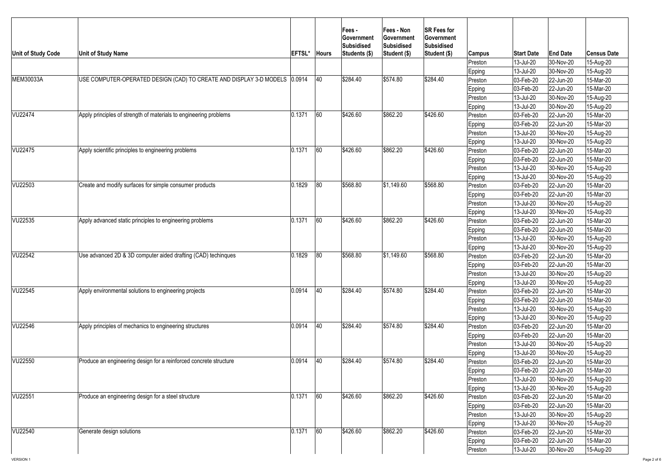| Unit of Study Code | <b>Unit of Study Name</b>                                                  | <b>EFTSL*</b> | <b>Hours</b> | <b>Fees-</b><br><b>Government</b><br>Subsidised<br>Students (\$) | <b>Fees - Non</b><br><b>Government</b><br>Subsidised<br>Student (\$) | <b>SR Fees for</b><br><b>Government</b><br>Subsidised<br>Student (\$) | Campus            | <b>Start Date</b>         | <b>End Date</b>        | <b>Census Date</b>     |
|--------------------|----------------------------------------------------------------------------|---------------|--------------|------------------------------------------------------------------|----------------------------------------------------------------------|-----------------------------------------------------------------------|-------------------|---------------------------|------------------------|------------------------|
|                    |                                                                            |               |              |                                                                  |                                                                      |                                                                       | Preston           | $13$ -Jul-20              | 30-Nov-20              | 15-Aug-20              |
|                    |                                                                            |               |              |                                                                  |                                                                      |                                                                       | Epping            | $13$ -Jul-20              | 30-Nov-20              | 15-Aug-20              |
| MEM30033A          | USE COMPUTER-OPERATED DESIGN (CAD) TO CREATE AND DISPLAY 3-D MODELS 0.0914 |               | 40           | \$284.40                                                         | \$574.80                                                             | \$284.40                                                              | Preston           | $ 03 - \text{Feb} - 20 $  | $ 22$ -Jun-20          | 15-Mar-20              |
|                    |                                                                            |               |              |                                                                  |                                                                      |                                                                       | Epping            | $ 03 - \text{Feb} - 20 $  | 22-Jun-20              | 15-Mar-20              |
|                    |                                                                            |               |              |                                                                  |                                                                      |                                                                       | Preston           | $13$ -Jul-20              | 30-Nov-20              | 15-Aug-20              |
|                    |                                                                            |               |              |                                                                  |                                                                      |                                                                       | Epping            | $13$ -Jul-20              | 30-Nov-20              | 15-Aug-20              |
| VU22474            | Apply principles of strength of materials to engineering problems          | 0.1371        | 60           | \$426.60                                                         | \$862.20                                                             | \$426.60                                                              | Preston           | 03-Feb-20                 | $ 22$ -Jun-20          | 15-Mar-20              |
|                    |                                                                            |               |              |                                                                  |                                                                      |                                                                       | Epping            | $ 03 - \text{Feb} - 20 $  | 22-Jun-20              | 15-Mar-20              |
|                    |                                                                            |               |              |                                                                  |                                                                      |                                                                       | Preston           | 13-Jul-20                 | 30-Nov-20              | 15-Aug-20              |
|                    |                                                                            |               |              |                                                                  |                                                                      |                                                                       | Epping            | 13-Jul-20                 | 30-Nov-20              | 15-Aug-20              |
| VU22475            | Apply scientific principles to engineering problems                        | 0.1371        | 60           | \$426.60                                                         | \$862.20                                                             | \$426.60                                                              | Preston           | 03-Feb-20                 | $ 22$ -Jun-20          | 15-Mar-20              |
|                    |                                                                            |               |              |                                                                  |                                                                      |                                                                       | Epping            | 03-Feb-20                 | $ 22$ -Jun-20          | 15-Mar-20              |
|                    |                                                                            |               |              |                                                                  |                                                                      |                                                                       | Preston           | 13-Jul-20                 | $ 30-Nov-20 $          | 15-Aug-20              |
|                    |                                                                            |               |              |                                                                  |                                                                      |                                                                       | <b>Epping</b>     | 13-Jul-20                 | 30-Nov-20              | 15-Aug-20              |
| VU22503            | Create and modify surfaces for simple consumer products                    | 0.1829        | 80           | \$568.80                                                         | $\frac{1}{31,149.60}$                                                | \$568.80                                                              | Preston           | 03-Feb-20                 | $ 22$ -Jun-20          | 15-Mar-20              |
|                    |                                                                            |               |              |                                                                  |                                                                      |                                                                       | Epping            | 03-Feb-20                 | $ 22$ -Jun-20          | 15-Mar-20              |
|                    |                                                                            |               |              |                                                                  |                                                                      |                                                                       | Preston           | $13$ -Jul-20              | 30-Nov-20              | 15-Aug-20              |
| VU22535            | Apply advanced static principles to engineering problems                   | 0.1371        | 60           | \$426.60                                                         | \$862.20                                                             | \$426.60                                                              | Epping            | $13$ -Jul-20              | 30-Nov-20              | 15-Aug-20              |
|                    |                                                                            |               |              |                                                                  |                                                                      |                                                                       | Preston           | $ 03 - \text{Feb} - 20 $  | $ 22$ -Jun-20          | 15-Mar-20              |
|                    |                                                                            |               |              |                                                                  |                                                                      |                                                                       | Epping            | $ 03 - \text{Feb} - 20 $  | $ 22$ -Jun-20          | 15-Mar-20              |
|                    |                                                                            |               |              |                                                                  |                                                                      |                                                                       | Preston_          | $13$ -Jul-20              | 30-Nov-20              | 15-Aug-20              |
| VU22542            | Use advanced 2D & 3D computer aided drafting (CAD) techinques              | 0.1829        | 80           | \$568.80                                                         | $\frac{1}{9}1,149.60$                                                | \$568.80                                                              | Epping<br>Preston | $13$ -Jul-20<br>03-Feb-20 | 30-Nov-20<br>22-Jun-20 | 15-Aug-20<br>15-Mar-20 |
|                    |                                                                            |               |              |                                                                  |                                                                      |                                                                       |                   | $ 03 - Feb - 20 $         | 22-Jun-20              | 15-Mar-20              |
|                    |                                                                            |               |              |                                                                  |                                                                      |                                                                       | Epping<br>Preston | $13$ -Jul-20              | 30-Nov-20              | 15-Aug-20              |
|                    |                                                                            |               |              |                                                                  |                                                                      |                                                                       | Epping            | 13-Jul-20                 | 30-Nov-20              | 15-Aug-20              |
| VU22545            | Apply environmental solutions to engineering projects                      | 0.0914        | 40           | \$284.40                                                         | \$574.80                                                             | \$284.40                                                              | Preston           | $ 03 - Feb - 20 $         | $ 22$ -Jun-20          | 15-Mar-20              |
|                    |                                                                            |               |              |                                                                  |                                                                      |                                                                       | Epping            | $ 03 - Feb - 20 $         | 22-Jun-20              | 15-Mar-20              |
|                    |                                                                            |               |              |                                                                  |                                                                      |                                                                       | Preston           | 13-Jul-20                 | 30-Nov-20              | 15-Aug-20              |
|                    |                                                                            |               |              |                                                                  |                                                                      |                                                                       | <b>Epping</b>     | 13-Jul-20                 | 30-Nov-20              | 15-Aug-20              |
| VU22546            | Apply principles of mechanics to engineering structures                    | 0.0914        | 40           | \$284.40                                                         | \$574.80                                                             | \$284.40                                                              | Preston           | 03-Feb-20                 | 22-Jun-20              | 15-Mar-20              |
|                    |                                                                            |               |              |                                                                  |                                                                      |                                                                       | Epping            | $ 03 - \text{Feb} - 20 $  | $ 22$ -Jun-20          | 15-Mar-20              |
|                    |                                                                            |               |              |                                                                  |                                                                      |                                                                       | Preston           | 13-Jul-20                 | 30-Nov-20              | 15-Aug-20              |
|                    |                                                                            |               |              |                                                                  |                                                                      |                                                                       | Epping            | 13-Jul-20                 | 30-Nov-20              | 15-Aug-20              |
| VU22550            | Produce an engineering design for a reinforced concrete structure          | 0.0914        | 40           | \$284.40                                                         | \$574.80                                                             | \$284.40                                                              | Preston           | $ 03 - \text{Feb} - 20 $  | $ 22$ -Jun-20          | 15-Mar-20              |
|                    |                                                                            |               |              |                                                                  |                                                                      |                                                                       | Epping            | $ 03 - \text{Feb} - 20 $  | 22-Jun-20              | 15-Mar-20              |
|                    |                                                                            |               |              |                                                                  |                                                                      |                                                                       | Preston           | $ 13 -$ Jul-20            | 30-Nov-20              | 15-Aug-20              |
|                    |                                                                            |               |              |                                                                  |                                                                      |                                                                       | Epping            | 13-Jul-20                 | 30-Nov-20              | 15-Aug-20              |
| VU22551            | Produce an engineering design for a steel structure                        | 0.1371        | 60           | \$426.60                                                         | \$862.20                                                             | \$426.60                                                              | Preston           | $ 03 - \text{Feb} - 20 $  | $ 22$ -Jun-20          | 15-Mar-20              |
|                    |                                                                            |               |              |                                                                  |                                                                      |                                                                       | Epping            | $ 03 - \text{Feb} - 20 $  | 22-Jun-20              | 15-Mar-20              |
|                    |                                                                            |               |              |                                                                  |                                                                      |                                                                       | Preston           | 13-Jul-20                 | 30-Nov-20              | 15-Aug-20              |
|                    |                                                                            |               |              |                                                                  |                                                                      |                                                                       | Epping            | 13-Jul-20                 | 30-Nov-20              | 15-Aug-20              |
| VU22540            | Generate design solutions                                                  | 0.1371        | 60           | \$426.60                                                         | \$862.20                                                             | \$426.60                                                              | Preston           | $ 03 - \text{Feb} - 20 $  | $ 22$ -Jun-20          | 15-Mar-20              |
|                    |                                                                            |               |              |                                                                  |                                                                      |                                                                       | Epping            | $ 03 - \text{Feb} - 20 $  | $ 22$ -Jun-20          | 15-Mar-20              |
|                    |                                                                            |               |              |                                                                  |                                                                      |                                                                       | Preston           | 13-Jul-20                 | 30-Nov-20              | 15-Aug-20              |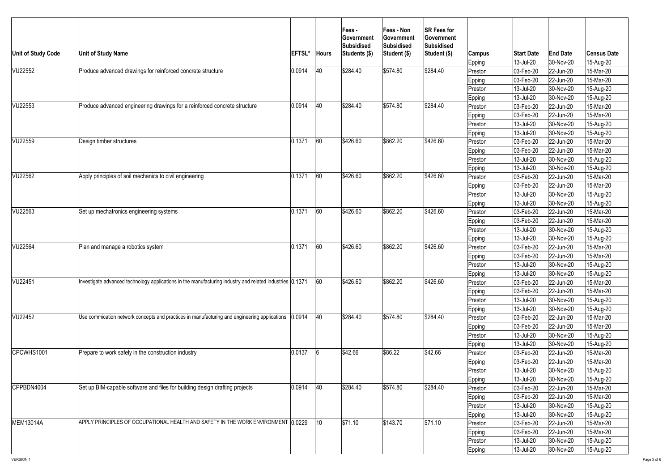| 13-Jul-20<br>$ 30-Nov-20 $<br>15-Aug-20<br>Epping<br>40<br>\$284.40<br>\$574.80<br>\$284.40<br> 0.0914 <br>Produce advanced drawings for reinforced concrete structure<br>03-Feb-20<br>22-Jun-20<br>15-Mar-20<br>Preston<br>15-Mar-20<br>03-Feb-20<br>22-Jun-20<br>Epping<br>30-Nov-20<br>15-Aug-20<br>13-Jul-20<br>Preston<br>13-Jul-20<br>30-Nov-20<br>15-Aug-20<br><b>Epping</b><br>40<br>\$284.40<br>\$574.80<br>\$284.40<br>Produce advanced engineering drawings for a reinforced concrete structure<br> 0.0914 <br>VU22553<br>03-Feb-20<br>22-Jun-20<br>15-Mar-20<br>Preston<br>03-Feb-20<br>22-Jun-20<br>15-Mar-20<br><b>Epping</b><br>13-Jul-20<br>30-Nov-20<br>15-Aug-20<br>Preston<br>13-Jul-20<br>30-Nov-20<br>15-Aug-20<br><b>Epping</b><br>\$862.20<br>60<br>\$426.60<br>\$426.60<br>0.1371<br>Design timber structures<br>03-Feb-20<br>15-Mar-20<br>22-Jun-20<br>Preston<br>03-Feb-20<br>15-Mar-20<br>22-Jun-20<br><b>Epping</b><br>13-Jul-20<br>30-Nov-20<br>15-Aug-20<br>Preston<br>13-Jul-20<br>30-Nov-20<br>15-Aug-20<br><b>Epping</b><br> 0.1371 <br>160<br>\$426.60<br>\$862.20<br>\$426.60<br>Apply principles of soil mechanics to civil engineering<br>03-Feb-20<br>22-Jun-20<br>15-Mar-20<br> Preston<br><b>Epping</b><br>03-Feb-20<br>22-Jun-20<br>15-Mar-20<br>$ 30-Nov-20 $<br>15-Aug-20<br>13-Jul-20<br>Preston<br>13-Jul-20<br>30-Nov-20<br>15-Aug-20<br><b>Epping</b><br>60<br>\$862.20<br>0.1371<br>\$426.60<br>\$426.60<br>Set up mechatronics engineering systems<br>03-Feb-20<br>$ 22$ -Jun-20<br>15-Mar-20<br>Preston<br>15-Mar-20<br>03-Feb-20<br>22-Jun-20<br><b>Epping</b><br>15-Aug-20<br>13-Jul-20<br>30-Nov-20<br>Preston<br>13-Jul-20<br>30-Nov-20<br>15-Aug-20<br><b>Epping</b><br>60<br>\$862.20<br>0.1371<br>\$426.60<br>\$426.60<br>Plan and manage a robotics system<br>15-Mar-20<br>03-Feb-20<br>22-Jun-20<br>Preston<br>15-Mar-20<br>03-Feb-20<br>22-Jun-20<br>Epping <br>13-Jul-20<br>30-Nov-20<br>15-Aug-20<br>Preston<br>13-Jul-20<br>30-Nov-20<br>15-Aug-20<br><b>Epping</b><br>60<br>\$426.60<br>\$862.20<br>\$426.60<br>Investigate advanced technology applications in the manufacturing industry and related industries [0.1371]<br>03-Feb-20<br>15-Mar-20<br>22-Jun-20<br>Preston<br>03-Feb-20<br>15-Mar-20<br>22-Jun-20<br><b>Epping</b><br>13-Jul-20<br>30-Nov-20<br>15-Aug-20<br>Preston<br>13-Jul-20<br>15-Aug-20<br>30-Nov-20<br><b>Epping</b><br>40<br>\$284.40<br>\$284.40<br>\$574.80<br>Use commication network concepts and practices in manufacturing and engineering applications (0.0914<br>03-Feb-20<br>22-Jun-20<br>15-Mar-20<br>Preston<br>03-Feb-20<br>22-Jun-20<br>15-Mar-20<br>Epping<br>$ 30-Nov-20 $<br>13-Jul-20<br>15-Aug-20<br>Preston<br>30-Nov-20<br>Epping<br>13-Jul-20<br>15-Aug-20<br>\$86.22<br>0.0137<br>\$42.66<br>\$42.66<br>Prepare to work safely in the construction industry<br>$ 03 - \text{Feb} - 20 $<br>22-Jun-20<br>15-Mar-20<br>Preston<br>15-Mar-20<br>Epping<br> 03-Feb-20 <br>22-Jun-20<br>15-Aug-20<br>13-Jul-20<br>$ 30-Nov-20 $<br>Preston<br>15-Aug-20<br>13-Jul-20<br>$ 30-Nov-20 $<br><b>Epping</b><br> 0.0914 <br>40<br>\$574.80<br>\$284.40<br>Set up BIM-capable software and files for building design drafting projects<br>\$284.40<br>03-Feb-20<br>22-Jun-20<br>15-Mar-20<br>Preston<br>03-Feb-20<br>22-Jun-20<br>15-Mar-20<br>Epping<br>13-Jul-20<br>30-Nov-20<br>15-Aug-20<br>Preston<br>13-Jul-20<br>$ 30-Nov-20 $<br>15-Aug-20<br><b>Epping</b><br>10<br>\$71.10<br> \$71.10<br>\$143.70<br>APPLY PRINCIPLES OF OCCUPATIONAL HEALTH AND SAFETY IN THE WORK ENVIRONMENT (0.0229)<br>03-Feb-20<br>22-Jun-20<br>15-Mar-20<br>Preston<br>03-Feb-20<br>15-Mar-20<br>22-Jun-20<br><b>Epping</b><br>13-Jul-20<br>30-Nov-20<br>15-Aug-20<br>Preston<br>13-Jul-20<br>15-Aug-20<br>$ 30-Nov-20 $<br>Epping | Unit of Study Code | <b>Unit of Study Name</b> | <b>EFTSL*</b> | <b>Hours</b> | <b>Fees-</b><br><b>Government</b><br>Subsidised<br>Students (\$) | <b>Fees - Non</b><br>∣Government<br><b>Subsidised</b><br>Student (\$) | <b>SR Fees for</b><br><b>Government</b><br><b>Subsidised</b><br>Student (\$) | Campus | <b>Start Date</b> | <b>End Date</b> | <b>Census Date</b> |
|---------------------------------------------------------------------------------------------------------------------------------------------------------------------------------------------------------------------------------------------------------------------------------------------------------------------------------------------------------------------------------------------------------------------------------------------------------------------------------------------------------------------------------------------------------------------------------------------------------------------------------------------------------------------------------------------------------------------------------------------------------------------------------------------------------------------------------------------------------------------------------------------------------------------------------------------------------------------------------------------------------------------------------------------------------------------------------------------------------------------------------------------------------------------------------------------------------------------------------------------------------------------------------------------------------------------------------------------------------------------------------------------------------------------------------------------------------------------------------------------------------------------------------------------------------------------------------------------------------------------------------------------------------------------------------------------------------------------------------------------------------------------------------------------------------------------------------------------------------------------------------------------------------------------------------------------------------------------------------------------------------------------------------------------------------------------------------------------------------------------------------------------------------------------------------------------------------------------------------------------------------------------------------------------------------------------------------------------------------------------------------------------------------------------------------------------------------------------------------------------------------------------------------------------------------------------------------------------------------------------------------------------------------------------------------------------------------------------------------------------------------------------------------------------------------------------------------------------------------------------------------------------------------------------------------------------------------------------------------------------------------------------------------------------------------------------------------------------------------------------------------------------------------------------------------------------------------------------------------------------------------------------------------------------------------------------------------------------------------------------------------------------------------------------------------------------------------------------------------------------------------------------------------------------------------------------------------------------------------------------------------------------------------------------------------------------------------------------------------------------------------------------------------------------------------------------------|--------------------|---------------------------|---------------|--------------|------------------------------------------------------------------|-----------------------------------------------------------------------|------------------------------------------------------------------------------|--------|-------------------|-----------------|--------------------|
|                                                                                                                                                                                                                                                                                                                                                                                                                                                                                                                                                                                                                                                                                                                                                                                                                                                                                                                                                                                                                                                                                                                                                                                                                                                                                                                                                                                                                                                                                                                                                                                                                                                                                                                                                                                                                                                                                                                                                                                                                                                                                                                                                                                                                                                                                                                                                                                                                                                                                                                                                                                                                                                                                                                                                                                                                                                                                                                                                                                                                                                                                                                                                                                                                                                                                                                                                                                                                                                                                                                                                                                                                                                                                                                                                                                                                           |                    |                           |               |              |                                                                  |                                                                       |                                                                              |        |                   |                 |                    |
|                                                                                                                                                                                                                                                                                                                                                                                                                                                                                                                                                                                                                                                                                                                                                                                                                                                                                                                                                                                                                                                                                                                                                                                                                                                                                                                                                                                                                                                                                                                                                                                                                                                                                                                                                                                                                                                                                                                                                                                                                                                                                                                                                                                                                                                                                                                                                                                                                                                                                                                                                                                                                                                                                                                                                                                                                                                                                                                                                                                                                                                                                                                                                                                                                                                                                                                                                                                                                                                                                                                                                                                                                                                                                                                                                                                                                           | <b>VU22552</b>     |                           |               |              |                                                                  |                                                                       |                                                                              |        |                   |                 |                    |
|                                                                                                                                                                                                                                                                                                                                                                                                                                                                                                                                                                                                                                                                                                                                                                                                                                                                                                                                                                                                                                                                                                                                                                                                                                                                                                                                                                                                                                                                                                                                                                                                                                                                                                                                                                                                                                                                                                                                                                                                                                                                                                                                                                                                                                                                                                                                                                                                                                                                                                                                                                                                                                                                                                                                                                                                                                                                                                                                                                                                                                                                                                                                                                                                                                                                                                                                                                                                                                                                                                                                                                                                                                                                                                                                                                                                                           |                    |                           |               |              |                                                                  |                                                                       |                                                                              |        |                   |                 |                    |
|                                                                                                                                                                                                                                                                                                                                                                                                                                                                                                                                                                                                                                                                                                                                                                                                                                                                                                                                                                                                                                                                                                                                                                                                                                                                                                                                                                                                                                                                                                                                                                                                                                                                                                                                                                                                                                                                                                                                                                                                                                                                                                                                                                                                                                                                                                                                                                                                                                                                                                                                                                                                                                                                                                                                                                                                                                                                                                                                                                                                                                                                                                                                                                                                                                                                                                                                                                                                                                                                                                                                                                                                                                                                                                                                                                                                                           |                    |                           |               |              |                                                                  |                                                                       |                                                                              |        |                   |                 |                    |
|                                                                                                                                                                                                                                                                                                                                                                                                                                                                                                                                                                                                                                                                                                                                                                                                                                                                                                                                                                                                                                                                                                                                                                                                                                                                                                                                                                                                                                                                                                                                                                                                                                                                                                                                                                                                                                                                                                                                                                                                                                                                                                                                                                                                                                                                                                                                                                                                                                                                                                                                                                                                                                                                                                                                                                                                                                                                                                                                                                                                                                                                                                                                                                                                                                                                                                                                                                                                                                                                                                                                                                                                                                                                                                                                                                                                                           |                    |                           |               |              |                                                                  |                                                                       |                                                                              |        |                   |                 |                    |
|                                                                                                                                                                                                                                                                                                                                                                                                                                                                                                                                                                                                                                                                                                                                                                                                                                                                                                                                                                                                                                                                                                                                                                                                                                                                                                                                                                                                                                                                                                                                                                                                                                                                                                                                                                                                                                                                                                                                                                                                                                                                                                                                                                                                                                                                                                                                                                                                                                                                                                                                                                                                                                                                                                                                                                                                                                                                                                                                                                                                                                                                                                                                                                                                                                                                                                                                                                                                                                                                                                                                                                                                                                                                                                                                                                                                                           |                    |                           |               |              |                                                                  |                                                                       |                                                                              |        |                   |                 |                    |
|                                                                                                                                                                                                                                                                                                                                                                                                                                                                                                                                                                                                                                                                                                                                                                                                                                                                                                                                                                                                                                                                                                                                                                                                                                                                                                                                                                                                                                                                                                                                                                                                                                                                                                                                                                                                                                                                                                                                                                                                                                                                                                                                                                                                                                                                                                                                                                                                                                                                                                                                                                                                                                                                                                                                                                                                                                                                                                                                                                                                                                                                                                                                                                                                                                                                                                                                                                                                                                                                                                                                                                                                                                                                                                                                                                                                                           |                    |                           |               |              |                                                                  |                                                                       |                                                                              |        |                   |                 |                    |
|                                                                                                                                                                                                                                                                                                                                                                                                                                                                                                                                                                                                                                                                                                                                                                                                                                                                                                                                                                                                                                                                                                                                                                                                                                                                                                                                                                                                                                                                                                                                                                                                                                                                                                                                                                                                                                                                                                                                                                                                                                                                                                                                                                                                                                                                                                                                                                                                                                                                                                                                                                                                                                                                                                                                                                                                                                                                                                                                                                                                                                                                                                                                                                                                                                                                                                                                                                                                                                                                                                                                                                                                                                                                                                                                                                                                                           |                    |                           |               |              |                                                                  |                                                                       |                                                                              |        |                   |                 |                    |
|                                                                                                                                                                                                                                                                                                                                                                                                                                                                                                                                                                                                                                                                                                                                                                                                                                                                                                                                                                                                                                                                                                                                                                                                                                                                                                                                                                                                                                                                                                                                                                                                                                                                                                                                                                                                                                                                                                                                                                                                                                                                                                                                                                                                                                                                                                                                                                                                                                                                                                                                                                                                                                                                                                                                                                                                                                                                                                                                                                                                                                                                                                                                                                                                                                                                                                                                                                                                                                                                                                                                                                                                                                                                                                                                                                                                                           |                    |                           |               |              |                                                                  |                                                                       |                                                                              |        |                   |                 |                    |
|                                                                                                                                                                                                                                                                                                                                                                                                                                                                                                                                                                                                                                                                                                                                                                                                                                                                                                                                                                                                                                                                                                                                                                                                                                                                                                                                                                                                                                                                                                                                                                                                                                                                                                                                                                                                                                                                                                                                                                                                                                                                                                                                                                                                                                                                                                                                                                                                                                                                                                                                                                                                                                                                                                                                                                                                                                                                                                                                                                                                                                                                                                                                                                                                                                                                                                                                                                                                                                                                                                                                                                                                                                                                                                                                                                                                                           | VU22559            |                           |               |              |                                                                  |                                                                       |                                                                              |        |                   |                 |                    |
|                                                                                                                                                                                                                                                                                                                                                                                                                                                                                                                                                                                                                                                                                                                                                                                                                                                                                                                                                                                                                                                                                                                                                                                                                                                                                                                                                                                                                                                                                                                                                                                                                                                                                                                                                                                                                                                                                                                                                                                                                                                                                                                                                                                                                                                                                                                                                                                                                                                                                                                                                                                                                                                                                                                                                                                                                                                                                                                                                                                                                                                                                                                                                                                                                                                                                                                                                                                                                                                                                                                                                                                                                                                                                                                                                                                                                           |                    |                           |               |              |                                                                  |                                                                       |                                                                              |        |                   |                 |                    |
|                                                                                                                                                                                                                                                                                                                                                                                                                                                                                                                                                                                                                                                                                                                                                                                                                                                                                                                                                                                                                                                                                                                                                                                                                                                                                                                                                                                                                                                                                                                                                                                                                                                                                                                                                                                                                                                                                                                                                                                                                                                                                                                                                                                                                                                                                                                                                                                                                                                                                                                                                                                                                                                                                                                                                                                                                                                                                                                                                                                                                                                                                                                                                                                                                                                                                                                                                                                                                                                                                                                                                                                                                                                                                                                                                                                                                           |                    |                           |               |              |                                                                  |                                                                       |                                                                              |        |                   |                 |                    |
|                                                                                                                                                                                                                                                                                                                                                                                                                                                                                                                                                                                                                                                                                                                                                                                                                                                                                                                                                                                                                                                                                                                                                                                                                                                                                                                                                                                                                                                                                                                                                                                                                                                                                                                                                                                                                                                                                                                                                                                                                                                                                                                                                                                                                                                                                                                                                                                                                                                                                                                                                                                                                                                                                                                                                                                                                                                                                                                                                                                                                                                                                                                                                                                                                                                                                                                                                                                                                                                                                                                                                                                                                                                                                                                                                                                                                           |                    |                           |               |              |                                                                  |                                                                       |                                                                              |        |                   |                 |                    |
|                                                                                                                                                                                                                                                                                                                                                                                                                                                                                                                                                                                                                                                                                                                                                                                                                                                                                                                                                                                                                                                                                                                                                                                                                                                                                                                                                                                                                                                                                                                                                                                                                                                                                                                                                                                                                                                                                                                                                                                                                                                                                                                                                                                                                                                                                                                                                                                                                                                                                                                                                                                                                                                                                                                                                                                                                                                                                                                                                                                                                                                                                                                                                                                                                                                                                                                                                                                                                                                                                                                                                                                                                                                                                                                                                                                                                           | <b>VU22562</b>     |                           |               |              |                                                                  |                                                                       |                                                                              |        |                   |                 |                    |
|                                                                                                                                                                                                                                                                                                                                                                                                                                                                                                                                                                                                                                                                                                                                                                                                                                                                                                                                                                                                                                                                                                                                                                                                                                                                                                                                                                                                                                                                                                                                                                                                                                                                                                                                                                                                                                                                                                                                                                                                                                                                                                                                                                                                                                                                                                                                                                                                                                                                                                                                                                                                                                                                                                                                                                                                                                                                                                                                                                                                                                                                                                                                                                                                                                                                                                                                                                                                                                                                                                                                                                                                                                                                                                                                                                                                                           |                    |                           |               |              |                                                                  |                                                                       |                                                                              |        |                   |                 |                    |
|                                                                                                                                                                                                                                                                                                                                                                                                                                                                                                                                                                                                                                                                                                                                                                                                                                                                                                                                                                                                                                                                                                                                                                                                                                                                                                                                                                                                                                                                                                                                                                                                                                                                                                                                                                                                                                                                                                                                                                                                                                                                                                                                                                                                                                                                                                                                                                                                                                                                                                                                                                                                                                                                                                                                                                                                                                                                                                                                                                                                                                                                                                                                                                                                                                                                                                                                                                                                                                                                                                                                                                                                                                                                                                                                                                                                                           |                    |                           |               |              |                                                                  |                                                                       |                                                                              |        |                   |                 |                    |
|                                                                                                                                                                                                                                                                                                                                                                                                                                                                                                                                                                                                                                                                                                                                                                                                                                                                                                                                                                                                                                                                                                                                                                                                                                                                                                                                                                                                                                                                                                                                                                                                                                                                                                                                                                                                                                                                                                                                                                                                                                                                                                                                                                                                                                                                                                                                                                                                                                                                                                                                                                                                                                                                                                                                                                                                                                                                                                                                                                                                                                                                                                                                                                                                                                                                                                                                                                                                                                                                                                                                                                                                                                                                                                                                                                                                                           |                    |                           |               |              |                                                                  |                                                                       |                                                                              |        |                   |                 |                    |
|                                                                                                                                                                                                                                                                                                                                                                                                                                                                                                                                                                                                                                                                                                                                                                                                                                                                                                                                                                                                                                                                                                                                                                                                                                                                                                                                                                                                                                                                                                                                                                                                                                                                                                                                                                                                                                                                                                                                                                                                                                                                                                                                                                                                                                                                                                                                                                                                                                                                                                                                                                                                                                                                                                                                                                                                                                                                                                                                                                                                                                                                                                                                                                                                                                                                                                                                                                                                                                                                                                                                                                                                                                                                                                                                                                                                                           | VU22563            |                           |               |              |                                                                  |                                                                       |                                                                              |        |                   |                 |                    |
|                                                                                                                                                                                                                                                                                                                                                                                                                                                                                                                                                                                                                                                                                                                                                                                                                                                                                                                                                                                                                                                                                                                                                                                                                                                                                                                                                                                                                                                                                                                                                                                                                                                                                                                                                                                                                                                                                                                                                                                                                                                                                                                                                                                                                                                                                                                                                                                                                                                                                                                                                                                                                                                                                                                                                                                                                                                                                                                                                                                                                                                                                                                                                                                                                                                                                                                                                                                                                                                                                                                                                                                                                                                                                                                                                                                                                           |                    |                           |               |              |                                                                  |                                                                       |                                                                              |        |                   |                 |                    |
|                                                                                                                                                                                                                                                                                                                                                                                                                                                                                                                                                                                                                                                                                                                                                                                                                                                                                                                                                                                                                                                                                                                                                                                                                                                                                                                                                                                                                                                                                                                                                                                                                                                                                                                                                                                                                                                                                                                                                                                                                                                                                                                                                                                                                                                                                                                                                                                                                                                                                                                                                                                                                                                                                                                                                                                                                                                                                                                                                                                                                                                                                                                                                                                                                                                                                                                                                                                                                                                                                                                                                                                                                                                                                                                                                                                                                           |                    |                           |               |              |                                                                  |                                                                       |                                                                              |        |                   |                 |                    |
|                                                                                                                                                                                                                                                                                                                                                                                                                                                                                                                                                                                                                                                                                                                                                                                                                                                                                                                                                                                                                                                                                                                                                                                                                                                                                                                                                                                                                                                                                                                                                                                                                                                                                                                                                                                                                                                                                                                                                                                                                                                                                                                                                                                                                                                                                                                                                                                                                                                                                                                                                                                                                                                                                                                                                                                                                                                                                                                                                                                                                                                                                                                                                                                                                                                                                                                                                                                                                                                                                                                                                                                                                                                                                                                                                                                                                           |                    |                           |               |              |                                                                  |                                                                       |                                                                              |        |                   |                 |                    |
|                                                                                                                                                                                                                                                                                                                                                                                                                                                                                                                                                                                                                                                                                                                                                                                                                                                                                                                                                                                                                                                                                                                                                                                                                                                                                                                                                                                                                                                                                                                                                                                                                                                                                                                                                                                                                                                                                                                                                                                                                                                                                                                                                                                                                                                                                                                                                                                                                                                                                                                                                                                                                                                                                                                                                                                                                                                                                                                                                                                                                                                                                                                                                                                                                                                                                                                                                                                                                                                                                                                                                                                                                                                                                                                                                                                                                           | <b>VU22564</b>     |                           |               |              |                                                                  |                                                                       |                                                                              |        |                   |                 |                    |
|                                                                                                                                                                                                                                                                                                                                                                                                                                                                                                                                                                                                                                                                                                                                                                                                                                                                                                                                                                                                                                                                                                                                                                                                                                                                                                                                                                                                                                                                                                                                                                                                                                                                                                                                                                                                                                                                                                                                                                                                                                                                                                                                                                                                                                                                                                                                                                                                                                                                                                                                                                                                                                                                                                                                                                                                                                                                                                                                                                                                                                                                                                                                                                                                                                                                                                                                                                                                                                                                                                                                                                                                                                                                                                                                                                                                                           |                    |                           |               |              |                                                                  |                                                                       |                                                                              |        |                   |                 |                    |
|                                                                                                                                                                                                                                                                                                                                                                                                                                                                                                                                                                                                                                                                                                                                                                                                                                                                                                                                                                                                                                                                                                                                                                                                                                                                                                                                                                                                                                                                                                                                                                                                                                                                                                                                                                                                                                                                                                                                                                                                                                                                                                                                                                                                                                                                                                                                                                                                                                                                                                                                                                                                                                                                                                                                                                                                                                                                                                                                                                                                                                                                                                                                                                                                                                                                                                                                                                                                                                                                                                                                                                                                                                                                                                                                                                                                                           |                    |                           |               |              |                                                                  |                                                                       |                                                                              |        |                   |                 |                    |
|                                                                                                                                                                                                                                                                                                                                                                                                                                                                                                                                                                                                                                                                                                                                                                                                                                                                                                                                                                                                                                                                                                                                                                                                                                                                                                                                                                                                                                                                                                                                                                                                                                                                                                                                                                                                                                                                                                                                                                                                                                                                                                                                                                                                                                                                                                                                                                                                                                                                                                                                                                                                                                                                                                                                                                                                                                                                                                                                                                                                                                                                                                                                                                                                                                                                                                                                                                                                                                                                                                                                                                                                                                                                                                                                                                                                                           |                    |                           |               |              |                                                                  |                                                                       |                                                                              |        |                   |                 |                    |
|                                                                                                                                                                                                                                                                                                                                                                                                                                                                                                                                                                                                                                                                                                                                                                                                                                                                                                                                                                                                                                                                                                                                                                                                                                                                                                                                                                                                                                                                                                                                                                                                                                                                                                                                                                                                                                                                                                                                                                                                                                                                                                                                                                                                                                                                                                                                                                                                                                                                                                                                                                                                                                                                                                                                                                                                                                                                                                                                                                                                                                                                                                                                                                                                                                                                                                                                                                                                                                                                                                                                                                                                                                                                                                                                                                                                                           | VU22451            |                           |               |              |                                                                  |                                                                       |                                                                              |        |                   |                 |                    |
|                                                                                                                                                                                                                                                                                                                                                                                                                                                                                                                                                                                                                                                                                                                                                                                                                                                                                                                                                                                                                                                                                                                                                                                                                                                                                                                                                                                                                                                                                                                                                                                                                                                                                                                                                                                                                                                                                                                                                                                                                                                                                                                                                                                                                                                                                                                                                                                                                                                                                                                                                                                                                                                                                                                                                                                                                                                                                                                                                                                                                                                                                                                                                                                                                                                                                                                                                                                                                                                                                                                                                                                                                                                                                                                                                                                                                           |                    |                           |               |              |                                                                  |                                                                       |                                                                              |        |                   |                 |                    |
|                                                                                                                                                                                                                                                                                                                                                                                                                                                                                                                                                                                                                                                                                                                                                                                                                                                                                                                                                                                                                                                                                                                                                                                                                                                                                                                                                                                                                                                                                                                                                                                                                                                                                                                                                                                                                                                                                                                                                                                                                                                                                                                                                                                                                                                                                                                                                                                                                                                                                                                                                                                                                                                                                                                                                                                                                                                                                                                                                                                                                                                                                                                                                                                                                                                                                                                                                                                                                                                                                                                                                                                                                                                                                                                                                                                                                           |                    |                           |               |              |                                                                  |                                                                       |                                                                              |        |                   |                 |                    |
|                                                                                                                                                                                                                                                                                                                                                                                                                                                                                                                                                                                                                                                                                                                                                                                                                                                                                                                                                                                                                                                                                                                                                                                                                                                                                                                                                                                                                                                                                                                                                                                                                                                                                                                                                                                                                                                                                                                                                                                                                                                                                                                                                                                                                                                                                                                                                                                                                                                                                                                                                                                                                                                                                                                                                                                                                                                                                                                                                                                                                                                                                                                                                                                                                                                                                                                                                                                                                                                                                                                                                                                                                                                                                                                                                                                                                           |                    |                           |               |              |                                                                  |                                                                       |                                                                              |        |                   |                 |                    |
|                                                                                                                                                                                                                                                                                                                                                                                                                                                                                                                                                                                                                                                                                                                                                                                                                                                                                                                                                                                                                                                                                                                                                                                                                                                                                                                                                                                                                                                                                                                                                                                                                                                                                                                                                                                                                                                                                                                                                                                                                                                                                                                                                                                                                                                                                                                                                                                                                                                                                                                                                                                                                                                                                                                                                                                                                                                                                                                                                                                                                                                                                                                                                                                                                                                                                                                                                                                                                                                                                                                                                                                                                                                                                                                                                                                                                           | VU22452            |                           |               |              |                                                                  |                                                                       |                                                                              |        |                   |                 |                    |
|                                                                                                                                                                                                                                                                                                                                                                                                                                                                                                                                                                                                                                                                                                                                                                                                                                                                                                                                                                                                                                                                                                                                                                                                                                                                                                                                                                                                                                                                                                                                                                                                                                                                                                                                                                                                                                                                                                                                                                                                                                                                                                                                                                                                                                                                                                                                                                                                                                                                                                                                                                                                                                                                                                                                                                                                                                                                                                                                                                                                                                                                                                                                                                                                                                                                                                                                                                                                                                                                                                                                                                                                                                                                                                                                                                                                                           |                    |                           |               |              |                                                                  |                                                                       |                                                                              |        |                   |                 |                    |
|                                                                                                                                                                                                                                                                                                                                                                                                                                                                                                                                                                                                                                                                                                                                                                                                                                                                                                                                                                                                                                                                                                                                                                                                                                                                                                                                                                                                                                                                                                                                                                                                                                                                                                                                                                                                                                                                                                                                                                                                                                                                                                                                                                                                                                                                                                                                                                                                                                                                                                                                                                                                                                                                                                                                                                                                                                                                                                                                                                                                                                                                                                                                                                                                                                                                                                                                                                                                                                                                                                                                                                                                                                                                                                                                                                                                                           |                    |                           |               |              |                                                                  |                                                                       |                                                                              |        |                   |                 |                    |
|                                                                                                                                                                                                                                                                                                                                                                                                                                                                                                                                                                                                                                                                                                                                                                                                                                                                                                                                                                                                                                                                                                                                                                                                                                                                                                                                                                                                                                                                                                                                                                                                                                                                                                                                                                                                                                                                                                                                                                                                                                                                                                                                                                                                                                                                                                                                                                                                                                                                                                                                                                                                                                                                                                                                                                                                                                                                                                                                                                                                                                                                                                                                                                                                                                                                                                                                                                                                                                                                                                                                                                                                                                                                                                                                                                                                                           |                    |                           |               |              |                                                                  |                                                                       |                                                                              |        |                   |                 |                    |
|                                                                                                                                                                                                                                                                                                                                                                                                                                                                                                                                                                                                                                                                                                                                                                                                                                                                                                                                                                                                                                                                                                                                                                                                                                                                                                                                                                                                                                                                                                                                                                                                                                                                                                                                                                                                                                                                                                                                                                                                                                                                                                                                                                                                                                                                                                                                                                                                                                                                                                                                                                                                                                                                                                                                                                                                                                                                                                                                                                                                                                                                                                                                                                                                                                                                                                                                                                                                                                                                                                                                                                                                                                                                                                                                                                                                                           | CPCWHS1001         |                           |               |              |                                                                  |                                                                       |                                                                              |        |                   |                 |                    |
|                                                                                                                                                                                                                                                                                                                                                                                                                                                                                                                                                                                                                                                                                                                                                                                                                                                                                                                                                                                                                                                                                                                                                                                                                                                                                                                                                                                                                                                                                                                                                                                                                                                                                                                                                                                                                                                                                                                                                                                                                                                                                                                                                                                                                                                                                                                                                                                                                                                                                                                                                                                                                                                                                                                                                                                                                                                                                                                                                                                                                                                                                                                                                                                                                                                                                                                                                                                                                                                                                                                                                                                                                                                                                                                                                                                                                           |                    |                           |               |              |                                                                  |                                                                       |                                                                              |        |                   |                 |                    |
|                                                                                                                                                                                                                                                                                                                                                                                                                                                                                                                                                                                                                                                                                                                                                                                                                                                                                                                                                                                                                                                                                                                                                                                                                                                                                                                                                                                                                                                                                                                                                                                                                                                                                                                                                                                                                                                                                                                                                                                                                                                                                                                                                                                                                                                                                                                                                                                                                                                                                                                                                                                                                                                                                                                                                                                                                                                                                                                                                                                                                                                                                                                                                                                                                                                                                                                                                                                                                                                                                                                                                                                                                                                                                                                                                                                                                           |                    |                           |               |              |                                                                  |                                                                       |                                                                              |        |                   |                 |                    |
|                                                                                                                                                                                                                                                                                                                                                                                                                                                                                                                                                                                                                                                                                                                                                                                                                                                                                                                                                                                                                                                                                                                                                                                                                                                                                                                                                                                                                                                                                                                                                                                                                                                                                                                                                                                                                                                                                                                                                                                                                                                                                                                                                                                                                                                                                                                                                                                                                                                                                                                                                                                                                                                                                                                                                                                                                                                                                                                                                                                                                                                                                                                                                                                                                                                                                                                                                                                                                                                                                                                                                                                                                                                                                                                                                                                                                           |                    |                           |               |              |                                                                  |                                                                       |                                                                              |        |                   |                 |                    |
|                                                                                                                                                                                                                                                                                                                                                                                                                                                                                                                                                                                                                                                                                                                                                                                                                                                                                                                                                                                                                                                                                                                                                                                                                                                                                                                                                                                                                                                                                                                                                                                                                                                                                                                                                                                                                                                                                                                                                                                                                                                                                                                                                                                                                                                                                                                                                                                                                                                                                                                                                                                                                                                                                                                                                                                                                                                                                                                                                                                                                                                                                                                                                                                                                                                                                                                                                                                                                                                                                                                                                                                                                                                                                                                                                                                                                           | CPPBDN4004         |                           |               |              |                                                                  |                                                                       |                                                                              |        |                   |                 |                    |
|                                                                                                                                                                                                                                                                                                                                                                                                                                                                                                                                                                                                                                                                                                                                                                                                                                                                                                                                                                                                                                                                                                                                                                                                                                                                                                                                                                                                                                                                                                                                                                                                                                                                                                                                                                                                                                                                                                                                                                                                                                                                                                                                                                                                                                                                                                                                                                                                                                                                                                                                                                                                                                                                                                                                                                                                                                                                                                                                                                                                                                                                                                                                                                                                                                                                                                                                                                                                                                                                                                                                                                                                                                                                                                                                                                                                                           |                    |                           |               |              |                                                                  |                                                                       |                                                                              |        |                   |                 |                    |
|                                                                                                                                                                                                                                                                                                                                                                                                                                                                                                                                                                                                                                                                                                                                                                                                                                                                                                                                                                                                                                                                                                                                                                                                                                                                                                                                                                                                                                                                                                                                                                                                                                                                                                                                                                                                                                                                                                                                                                                                                                                                                                                                                                                                                                                                                                                                                                                                                                                                                                                                                                                                                                                                                                                                                                                                                                                                                                                                                                                                                                                                                                                                                                                                                                                                                                                                                                                                                                                                                                                                                                                                                                                                                                                                                                                                                           |                    |                           |               |              |                                                                  |                                                                       |                                                                              |        |                   |                 |                    |
|                                                                                                                                                                                                                                                                                                                                                                                                                                                                                                                                                                                                                                                                                                                                                                                                                                                                                                                                                                                                                                                                                                                                                                                                                                                                                                                                                                                                                                                                                                                                                                                                                                                                                                                                                                                                                                                                                                                                                                                                                                                                                                                                                                                                                                                                                                                                                                                                                                                                                                                                                                                                                                                                                                                                                                                                                                                                                                                                                                                                                                                                                                                                                                                                                                                                                                                                                                                                                                                                                                                                                                                                                                                                                                                                                                                                                           |                    |                           |               |              |                                                                  |                                                                       |                                                                              |        |                   |                 |                    |
|                                                                                                                                                                                                                                                                                                                                                                                                                                                                                                                                                                                                                                                                                                                                                                                                                                                                                                                                                                                                                                                                                                                                                                                                                                                                                                                                                                                                                                                                                                                                                                                                                                                                                                                                                                                                                                                                                                                                                                                                                                                                                                                                                                                                                                                                                                                                                                                                                                                                                                                                                                                                                                                                                                                                                                                                                                                                                                                                                                                                                                                                                                                                                                                                                                                                                                                                                                                                                                                                                                                                                                                                                                                                                                                                                                                                                           | <b>MEM13014A</b>   |                           |               |              |                                                                  |                                                                       |                                                                              |        |                   |                 |                    |
|                                                                                                                                                                                                                                                                                                                                                                                                                                                                                                                                                                                                                                                                                                                                                                                                                                                                                                                                                                                                                                                                                                                                                                                                                                                                                                                                                                                                                                                                                                                                                                                                                                                                                                                                                                                                                                                                                                                                                                                                                                                                                                                                                                                                                                                                                                                                                                                                                                                                                                                                                                                                                                                                                                                                                                                                                                                                                                                                                                                                                                                                                                                                                                                                                                                                                                                                                                                                                                                                                                                                                                                                                                                                                                                                                                                                                           |                    |                           |               |              |                                                                  |                                                                       |                                                                              |        |                   |                 |                    |
|                                                                                                                                                                                                                                                                                                                                                                                                                                                                                                                                                                                                                                                                                                                                                                                                                                                                                                                                                                                                                                                                                                                                                                                                                                                                                                                                                                                                                                                                                                                                                                                                                                                                                                                                                                                                                                                                                                                                                                                                                                                                                                                                                                                                                                                                                                                                                                                                                                                                                                                                                                                                                                                                                                                                                                                                                                                                                                                                                                                                                                                                                                                                                                                                                                                                                                                                                                                                                                                                                                                                                                                                                                                                                                                                                                                                                           |                    |                           |               |              |                                                                  |                                                                       |                                                                              |        |                   |                 |                    |
|                                                                                                                                                                                                                                                                                                                                                                                                                                                                                                                                                                                                                                                                                                                                                                                                                                                                                                                                                                                                                                                                                                                                                                                                                                                                                                                                                                                                                                                                                                                                                                                                                                                                                                                                                                                                                                                                                                                                                                                                                                                                                                                                                                                                                                                                                                                                                                                                                                                                                                                                                                                                                                                                                                                                                                                                                                                                                                                                                                                                                                                                                                                                                                                                                                                                                                                                                                                                                                                                                                                                                                                                                                                                                                                                                                                                                           |                    |                           |               |              |                                                                  |                                                                       |                                                                              |        |                   |                 |                    |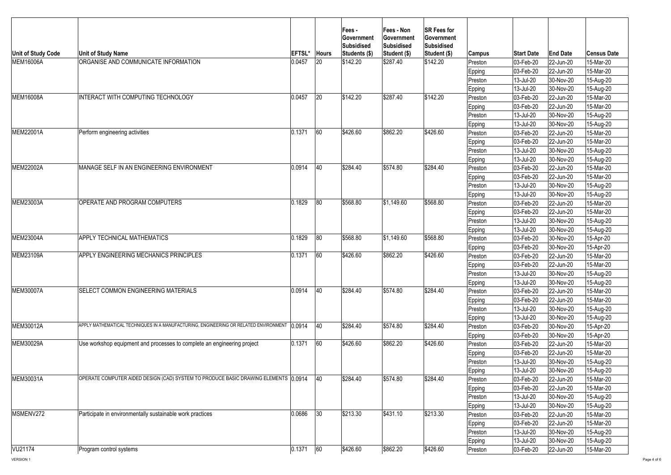| <b>Unit of Study Code</b> | <b>Unit of Study Name</b>                                                                   | <b>EFTSL'</b> | <b>Hours</b> | <b>Fees-</b><br><b>Government</b><br>Subsidised<br>Students (\$) | Fees - Non<br><b>Government</b><br>Subsidised<br>Student (\$) | <b>SR Fees for</b><br><b>Government</b><br><b>Subsidised</b><br>Student (\$) | <b>Campus</b> | <b>Start Date</b>        | <b>End Date</b> | <b>Census Date</b> |
|---------------------------|---------------------------------------------------------------------------------------------|---------------|--------------|------------------------------------------------------------------|---------------------------------------------------------------|------------------------------------------------------------------------------|---------------|--------------------------|-----------------|--------------------|
| <b>MEM16006A</b>          | <b>ORGANISE AND COMMUNICATE INFORMATION</b>                                                 | 0.0457        | <b>20</b>    | \$142.20                                                         | \$287.40                                                      | \$142.20                                                                     | Preston       | $ 03 - \text{Feb} - 20 $ | $ 22$ -Jun-20   | 15-Mar-20          |
|                           |                                                                                             |               |              |                                                                  |                                                               |                                                                              | Epping        | $ 03 - \text{Feb} - 20 $ | 22-Jun-20       | 15-Mar-20          |
|                           |                                                                                             |               |              |                                                                  |                                                               |                                                                              | Preston       | 13-Jul-20                | $ 30-Nov-20 $   | 15-Aug-20          |
|                           |                                                                                             |               |              |                                                                  |                                                               |                                                                              | <b>Epping</b> | 13-Jul-20                | 30-Nov-20       | 15-Aug-20          |
| <b>MEM16008A</b>          | <b>INTERACT WITH COMPUTING TECHNOLOGY</b>                                                   | 0.0457        | 20           | \$142.20                                                         | \$287.40                                                      | \$142.20                                                                     | Preston       | 03-Feb-20                | $ 22$ -Jun-20   | 15-Mar-20          |
|                           |                                                                                             |               |              |                                                                  |                                                               |                                                                              | <b>Epping</b> | 03-Feb-20                | $ 22$ -Jun-20   | 15-Mar-20          |
|                           |                                                                                             |               |              |                                                                  |                                                               |                                                                              | Preston       | 13-Jul-20                | 30-Nov-20       | 15-Aug-20          |
|                           |                                                                                             |               |              |                                                                  |                                                               |                                                                              | Epping        | 13-Jul-20                | 30-Nov-20       | 15-Aug-20          |
| MEM22001A                 | Perform engineering activities                                                              | 0.1371        | 60           | \$426.60                                                         | \$862.20                                                      | \$426.60                                                                     | Preston       | 03-Feb-20                | $ 22$ -Jun-20   | 15-Mar-20          |
|                           |                                                                                             |               |              |                                                                  |                                                               |                                                                              | Epping        | 03-Feb-20                | $ 22$ -Jun-20   | 15-Mar-20          |
|                           |                                                                                             |               |              |                                                                  |                                                               |                                                                              | Preston       | 13-Jul-20                | 30-Nov-20       | 15-Aug-20          |
|                           |                                                                                             |               |              |                                                                  |                                                               |                                                                              | Epping        | 13-Jul-20                | 30-Nov-20       | 15-Aug-20          |
| MEM22002A                 | <b>IMANAGE SELF IN AN ENGINEERING ENVIRONMENT</b>                                           | 0.0914        | 40           | \$284.40                                                         | \$574.80                                                      | \$284.40                                                                     | Preston       | 03-Feb-20                | $ 22$ -Jun-20   | 15-Mar-20          |
|                           |                                                                                             |               |              |                                                                  |                                                               |                                                                              | Epping        | 03-Feb-20                | 22-Jun-20       | 15-Mar-20          |
|                           |                                                                                             |               |              |                                                                  |                                                               |                                                                              | Preston       | 13-Jul-20                | $ 30-Nov-20 $   | 15-Aug-20          |
|                           |                                                                                             |               |              |                                                                  |                                                               |                                                                              | Epping        | 13-Jul-20                | $ 30-Nov-20 $   | 15-Aug-20          |
| MEM23003A                 | OPERATE AND PROGRAM COMPUTERS                                                               | 0.1829        | 80           | \$568.80                                                         | \$1,149.60                                                    | \$568.80                                                                     | Preston       | 03-Feb-20                | 22-Jun-20       | 15-Mar-20          |
|                           |                                                                                             |               |              |                                                                  |                                                               |                                                                              | Epping        | 03-Feb-20                | 22-Jun-20       | 15-Mar-20          |
|                           |                                                                                             |               |              |                                                                  |                                                               |                                                                              | Preston       | 13-Jul-20                | $ 30-Nov-20 $   | 15-Aug-20          |
|                           |                                                                                             |               |              |                                                                  |                                                               |                                                                              | <b>Epping</b> | 13-Jul-20                | $ 30-Nov-20 $   | 15-Aug-20          |
| <b>MEM23004A</b>          | <b>APPLY TECHNICAL MATHEMATICS</b>                                                          | 0.1829        | 80           | \$568.80                                                         | \$1,149.60                                                    | \$568.80                                                                     | Preston       | 03-Feb-20                | $ 30-Nov-20 $   | 15-Apr-20          |
|                           |                                                                                             |               |              |                                                                  |                                                               |                                                                              | Epping        | 03-Feb-20                | $ 30-Nov-20 $   | 15-Apr-20          |
| <b>MEM23109A</b>          | <b>APPLY ENGINEERING MECHANICS PRINCIPLES</b>                                               | 0.1371        | 60           | \$426.60                                                         | \$862.20                                                      | \$426.60                                                                     | Preston       | 03-Feb-20                | 22-Jun-20       | 15-Mar-20          |
|                           |                                                                                             |               |              |                                                                  |                                                               |                                                                              | Epping        | 03-Feb-20                | 22-Jun-20       | 15-Mar-20          |
|                           |                                                                                             |               |              |                                                                  |                                                               |                                                                              | Preston       | 13-Jul-20                | 30-Nov-20       | 15-Aug-20          |
|                           |                                                                                             |               |              |                                                                  |                                                               |                                                                              | Epping        | 13-Jul-20                | 30-Nov-20       | 15-Aug-20          |
| <b>MEM30007A</b>          | <b>ISELECT COMMON ENGINEERING MATERIALS</b>                                                 | 0.0914        | 40           | \$284.40                                                         | \$574.80                                                      | \$284.40                                                                     | Preston       | 03-Feb-20                | 22-Jun-20       | 15-Mar-20          |
|                           |                                                                                             |               |              |                                                                  |                                                               |                                                                              | <b>Epping</b> | 03-Feb-20                | 22-Jun-20       | 15-Mar-20          |
|                           |                                                                                             |               |              |                                                                  |                                                               |                                                                              | Preston       | 13-Jul-20                | 30-Nov-20       | 15-Aug-20          |
|                           |                                                                                             |               |              |                                                                  |                                                               |                                                                              | <b>Epping</b> | 13-Jul-20                | 30-Nov-20       | 15-Aug-20          |
| <b>MEM30012A</b>          | APPLY MATHEMATICAL TECHNIQUES IN A MANUFACTURING, ENGINEERING OR RELATED ENVIRONMENT 0.0914 |               | 40           | \$284.40                                                         | \$574.80                                                      | \$284.40                                                                     | Preston       | 03-Feb-20                | $ 30-Nov-20 $   | 15-Apr-20          |
|                           |                                                                                             |               |              |                                                                  |                                                               |                                                                              | <b>Epping</b> | 03-Feb-20                | $ 30-Nov-20 $   | 15-Apr-20          |
| MEM30029A                 | Use workshop equipment and processes to complete an engineering project                     | 0.1371        | 60           | \$426.60                                                         | \$862.20                                                      | \$426.60                                                                     | Preston       | 03-Feb-20                | 22-Jun-20       | 15-Mar-20          |
|                           |                                                                                             |               |              |                                                                  |                                                               |                                                                              | Epping        | 03-Feb-20                | 22-Jun-20       | 15-Mar-20          |
|                           |                                                                                             |               |              |                                                                  |                                                               |                                                                              | Preston       | 13-Jul-20                | $ 30-Nov-20 $   | 15-Aug-20          |
|                           |                                                                                             |               |              |                                                                  |                                                               |                                                                              | <b>Epping</b> | 13-Jul-20                | $ 30-Nov-20 $   | 15-Aug-20          |
| MEM30031A                 | OPERATE COMPUTER AIDED DESIGN (CAD) SYSTEM TO PRODUCE BASIC DRAWING ELEMENTS 10.0914        |               | 40           | \$284.40                                                         | \$574.80                                                      | \$284.40                                                                     | Preston       | 03-Feb-20                | $ 22$ -Jun-20   | 15-Mar-20          |
|                           |                                                                                             |               |              |                                                                  |                                                               |                                                                              | <b>Epping</b> | 03-Feb-20                | 22-Jun-20       | 15-Mar-20          |
|                           |                                                                                             |               |              |                                                                  |                                                               |                                                                              | Preston       | 13-Jul-20                | 30-Nov-20       | 15-Aug-20          |
|                           |                                                                                             |               |              |                                                                  |                                                               |                                                                              | <b>Epping</b> | 13-Jul-20                | 30-Nov-20       | 15-Aug-20          |
| MSMENV272                 | Participate in environmentally sustainable work practices                                   | 0.0686        | 30           | \$213.30                                                         | \$431.10                                                      | \$213.30                                                                     | Preston       | 03-Feb-20                | $ 22$ -Jun-20   | 15-Mar-20          |
|                           |                                                                                             |               |              |                                                                  |                                                               |                                                                              | Epping        | 03-Feb-20                | $ 22$ -Jun-20   | 15-Mar-20          |
|                           |                                                                                             |               |              |                                                                  |                                                               |                                                                              | Preston       | 13-Jul-20                | 30-Nov-20       | 15-Aug-20          |
|                           |                                                                                             |               |              |                                                                  |                                                               |                                                                              | Epping        | 13-Jul-20                | $ 30-Nov-20 $   | 15-Aug-20          |
| VU21174                   | <b>Program control systems</b>                                                              | 0.1371        | 60           | \$426.60                                                         | \$862.20                                                      | \$426.60                                                                     | Preston       | $ 03 - \text{Feb} - 20 $ | 22-Jun-20       | 15-Mar-20          |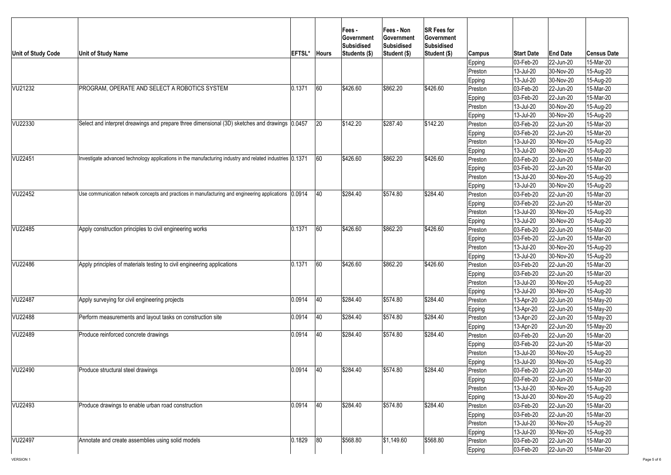| Unit of Study Code | <b>Unit of Study Name</b>                                                                                | <b>EFTSL*</b> | <b>Hours</b> | <b>Fees-</b><br><b>Sovernment</b><br>Subsidised<br>Students (\$) | <b>Fees - Non</b><br><b>∣Government</b><br>Subsidised<br>Student (\$) | <b>SR Fees for</b><br><b>Government</b><br><b>Subsidised</b><br>Student (\$) | Campus<br>Epping<br> Preston<br>Epping | <b>Start Date</b><br> 03-Feb-20 <br>13-Jul-20<br>13-Jul-20 | <b>End Date</b><br>$ 22$ -Jun-20<br>$ 30-Nov-20 $<br>30-Nov-20 | <b>Census Date</b><br>15-Mar-20<br>15-Aug-20<br>15-Aug-20 |
|--------------------|----------------------------------------------------------------------------------------------------------|---------------|--------------|------------------------------------------------------------------|-----------------------------------------------------------------------|------------------------------------------------------------------------------|----------------------------------------|------------------------------------------------------------|----------------------------------------------------------------|-----------------------------------------------------------|
| VU21232            | <b>PROGRAM, OPERATE AND SELECT A ROBOTICS SYSTEM</b>                                                     | 0.1371        | 60           | \$426.60                                                         | \$862.20                                                              | \$426.60                                                                     | Preston                                | $ 03 - \text{Feb} - 20 $                                   | 22-Jun-20                                                      | 15-Mar-20                                                 |
|                    |                                                                                                          |               |              |                                                                  |                                                                       |                                                                              | Epping                                 | 03-Feb-20                                                  | $ 22$ -Jun-20                                                  | 15-Mar-20                                                 |
|                    |                                                                                                          |               |              |                                                                  |                                                                       |                                                                              | Preston                                | 13-Jul-20                                                  | 30-Nov-20                                                      | 15-Aug-20                                                 |
|                    |                                                                                                          |               |              |                                                                  |                                                                       |                                                                              | Epping                                 | 13-Jul-20                                                  | 30-Nov-20                                                      | 15-Aug-20                                                 |
| VU22330            | Select and interpret dreawings and prepare three dimensional (3D) sketches and drawings 0.0457           |               | 20           | \$142.20                                                         | \$287.40                                                              | \$142.20                                                                     | Preston                                | 03-Feb-20                                                  | $ 22$ -Jun-20                                                  | 15-Mar-20                                                 |
|                    |                                                                                                          |               |              |                                                                  |                                                                       |                                                                              | Epping                                 | 03-Feb-20                                                  | $ 22$ -Jun-20                                                  | 15-Mar-20                                                 |
|                    |                                                                                                          |               |              |                                                                  |                                                                       |                                                                              | Preston                                | 13-Jul-20                                                  | 30-Nov-20                                                      | 15-Aug-20                                                 |
|                    |                                                                                                          |               |              |                                                                  |                                                                       |                                                                              | Epping                                 | 13-Jul-20                                                  | 30-Nov-20                                                      | 15-Aug-20                                                 |
| <b>VU22451</b>     | Investigate advanced technology applications in the manufacturing industry and related industries 0.1371 |               | 60           | \$426.60                                                         | \$862.20                                                              | \$426.60                                                                     | Preston                                | 03-Feb-20                                                  | $ 22$ -Jun-20                                                  | 15-Mar-20                                                 |
|                    |                                                                                                          |               |              |                                                                  |                                                                       |                                                                              | Epping                                 | 03-Feb-20                                                  | $ 22$ -Jun-20                                                  | 15-Mar-20                                                 |
|                    |                                                                                                          |               |              |                                                                  |                                                                       |                                                                              | Preston                                | 13-Jul-20                                                  | 30-Nov-20                                                      | 15-Aug-20                                                 |
|                    |                                                                                                          |               |              |                                                                  |                                                                       |                                                                              | Epping                                 | 13-Jul-20                                                  | 30-Nov-20                                                      | 15-Aug-20                                                 |
| VU22452            | Use communication network concepts and practices in manufacturing and engineering applications (0.0914   |               | 40           | \$284.40                                                         | \$574.80                                                              | \$284.40                                                                     | Preston                                | 03-Feb-20                                                  | $ 22$ -Jun-20                                                  | 15-Mar-20                                                 |
|                    |                                                                                                          |               |              |                                                                  |                                                                       |                                                                              | Epping                                 | 03-Feb-20                                                  | $ 22$ -Jun-20                                                  | 15-Mar-20                                                 |
|                    |                                                                                                          |               |              |                                                                  |                                                                       |                                                                              | Preston                                | 13-Jul-20                                                  | 30-Nov-20                                                      | 15-Aug-20                                                 |
|                    |                                                                                                          |               |              |                                                                  |                                                                       |                                                                              | Epping                                 | 13-Jul-20                                                  | 30-Nov-20                                                      | 15-Aug-20                                                 |
| VU22485            | Apply construction principles to civil engineering works                                                 | 0.1371        | 60           | \$426.60                                                         | \$862.20                                                              | \$426.60                                                                     | Preston                                | 03-Feb-20                                                  | $ 22$ -Jun-20                                                  | 15-Mar-20                                                 |
|                    |                                                                                                          |               |              |                                                                  |                                                                       |                                                                              | Epping                                 | 03-Feb-20                                                  | $ 22$ -Jun-20                                                  | 15-Mar-20                                                 |
|                    |                                                                                                          |               |              |                                                                  |                                                                       |                                                                              | Preston                                | 13-Jul-20                                                  | 30-Nov-20                                                      | 15-Aug-20                                                 |
|                    |                                                                                                          |               |              |                                                                  |                                                                       |                                                                              | <b>Epping</b>                          | 13-Jul-20                                                  | 30-Nov-20                                                      | 15-Aug-20                                                 |
| VU22486            | Apply principles of materials testing to civil engineering applications                                  | 0.1371        | 60           | \$426.60                                                         | \$862.20                                                              | \$426.60                                                                     | Preston                                | 03-Feb-20                                                  | 22-Jun-20                                                      | 15-Mar-20                                                 |
|                    |                                                                                                          |               |              |                                                                  |                                                                       |                                                                              | Epping                                 | 03-Feb-20                                                  | $ 22$ -Jun-20                                                  | 15-Mar-20                                                 |
|                    |                                                                                                          |               |              |                                                                  |                                                                       |                                                                              | Preston                                | 13-Jul-20                                                  | 30-Nov-20                                                      | 15-Aug-20                                                 |
|                    |                                                                                                          |               |              |                                                                  |                                                                       |                                                                              | Epping                                 | 13-Jul-20                                                  | 30-Nov-20                                                      | 15-Aug-20                                                 |
| VU22487            | Apply surveying for civil engineering projects                                                           | 0.0914        | 40           | \$284.40                                                         | \$574.80                                                              | \$284.40                                                                     | Preston                                | 13-Apr-20                                                  | $ 22$ -Jun-20                                                  | 15-May-20                                                 |
|                    |                                                                                                          |               |              |                                                                  |                                                                       |                                                                              | Epping                                 | 13-Apr-20                                                  | $ 22$ -Jun-20                                                  | 15-May-20                                                 |
| <b>VU22488</b>     | Perform measurements and layout tasks on construction site                                               | 0.0914        | 40           | \$284.40                                                         | \$574.80                                                              | \$284.40                                                                     | Preston                                | 13-Apr-20                                                  | $ 22$ -Jun-20                                                  | 15-May-20                                                 |
| VU22489            |                                                                                                          |               | 40           | \$284.40                                                         | \$574.80                                                              | \$284.40                                                                     | <b>Epping</b>                          | 13-Apr-20                                                  | $ 22$ -Jun-20                                                  | 15-May-20                                                 |
|                    | Produce reinforced concrete drawings                                                                     | 0.0914        |              |                                                                  |                                                                       |                                                                              | Preston                                | 03-Feb-20                                                  | $ 22$ -Jun-20                                                  | 15-Mar-20                                                 |
|                    |                                                                                                          |               |              |                                                                  |                                                                       |                                                                              | Epping                                 | $ 03 - Feb - 20 $                                          | 22-Jun-20                                                      | 15-Mar-20                                                 |
|                    |                                                                                                          |               |              |                                                                  |                                                                       |                                                                              | Preston                                | 13-Jul-20                                                  | $ 30-Nov-20 $                                                  | 15-Aug-20                                                 |
| VU22490            | Produce structural steel drawings                                                                        | 0.0914        | 40           | \$284.40                                                         | \$574.80                                                              | \$284.40                                                                     | Epping                                 | 13-Jul-20                                                  | $ 30-Nov-20 $                                                  | 15-Aug-20                                                 |
|                    |                                                                                                          |               |              |                                                                  |                                                                       |                                                                              | Preston                                | $ 03 - \text{Feb} - 20 $                                   | 22-Jun-20                                                      | 15-Mar-20<br>15-Mar-20                                    |
|                    |                                                                                                          |               |              |                                                                  |                                                                       |                                                                              | Epping                                 | 03-Feb-20<br>13-Jul-20                                     | $ 22$ -Jun-20<br>30-Nov-20                                     |                                                           |
|                    |                                                                                                          |               |              |                                                                  |                                                                       |                                                                              | Preston                                |                                                            |                                                                | 15-Aug-20                                                 |
| VU22493            | Produce drawings to enable urban road construction                                                       | 0.0914        | 40           | \$284.40                                                         | \$574.80                                                              | \$284.40                                                                     | Epping<br>Preston                      | 13-Jul-20<br>03-Feb-20                                     | 30-Nov-20<br>$ 22$ -Jun-20                                     | 15-Aug-20<br>15-Mar-20                                    |
|                    |                                                                                                          |               |              |                                                                  |                                                                       |                                                                              |                                        | 03-Feb-20                                                  | $ 22$ -Jun-20                                                  | 15-Mar-20                                                 |
|                    |                                                                                                          |               |              |                                                                  |                                                                       |                                                                              | Epping<br>Preston                      | 13-Jul-20                                                  | 30-Nov-20                                                      | 15-Aug-20                                                 |
|                    |                                                                                                          |               |              |                                                                  |                                                                       |                                                                              |                                        | 13-Jul-20                                                  | 30-Nov-20                                                      | 15-Aug-20                                                 |
| VU22497            | Annotate and create assemblies using solid models                                                        | 0.1829        | 80           | \$568.80                                                         | \$1,149.60                                                            | \$568.80                                                                     | Epping<br>Preston                      | 03-Feb-20                                                  | $ 22$ -Jun-20                                                  | 15-Mar-20                                                 |
|                    |                                                                                                          |               |              |                                                                  |                                                                       |                                                                              |                                        | $ 03 - \text{Feb} - 20 $                                   | 22-Jun-20                                                      | 15-Mar-20                                                 |
|                    |                                                                                                          |               |              |                                                                  |                                                                       |                                                                              | Epping                                 |                                                            |                                                                |                                                           |